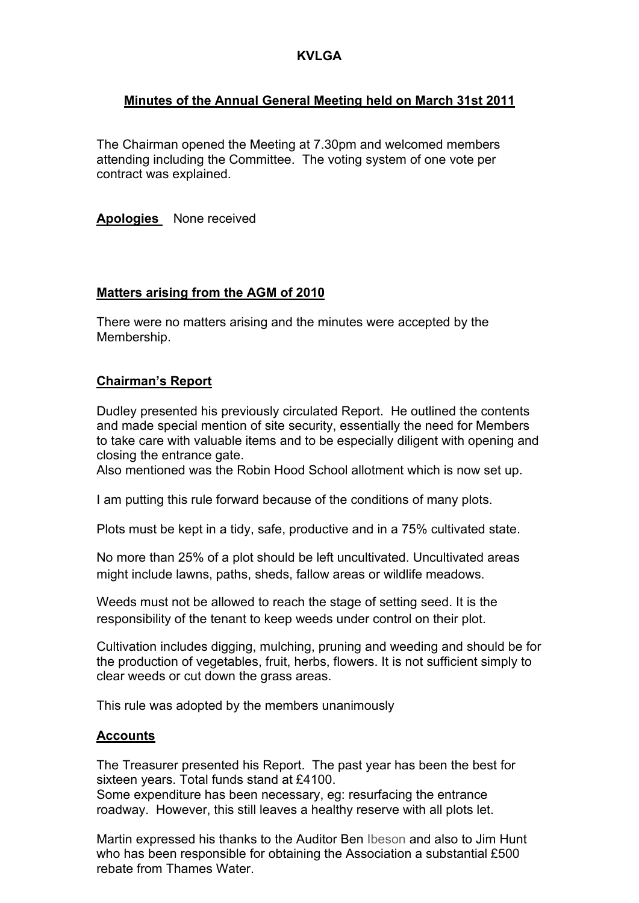## **Minutes of the Annual General Meeting held on March 31st 2011**

The Chairman opened the Meeting at 7.30pm and welcomed members attending including the Committee. The voting system of one vote per contract was explained.

**Apologies** None received

#### **Matters arising from the AGM of 2010**

There were no matters arising and the minutes were accepted by the Membership.

#### **Chairman's Report**

Dudley presented his previously circulated Report. He outlined the contents and made special mention of site security, essentially the need for Members to take care with valuable items and to be especially diligent with opening and closing the entrance gate.

Also mentioned was the Robin Hood School allotment which is now set up.

I am putting this rule forward because of the conditions of many plots.

Plots must be kept in a tidy, safe, productive and in a 75% cultivated state.

No more than 25% of a plot should be left uncultivated. Uncultivated areas might include lawns, paths, sheds, fallow areas or wildlife meadows.

Weeds must not be allowed to reach the stage of setting seed. It is the responsibility of the tenant to keep weeds under control on their plot.

Cultivation includes digging, mulching, pruning and weeding and should be for the production of vegetables, fruit, herbs, flowers. It is not sufficient simply to clear weeds or cut down the grass areas.

This rule was adopted by the members unanimously

#### **Accounts**

The Treasurer presented his Report. The past year has been the best for sixteen years. Total funds stand at £4100.

Some expenditure has been necessary, eg: resurfacing the entrance roadway. However, this still leaves a healthy reserve with all plots let.

Martin expressed his thanks to the Auditor Ben Ibeson and also to Jim Hunt who has been responsible for obtaining the Association a substantial £500 rebate from Thames Water.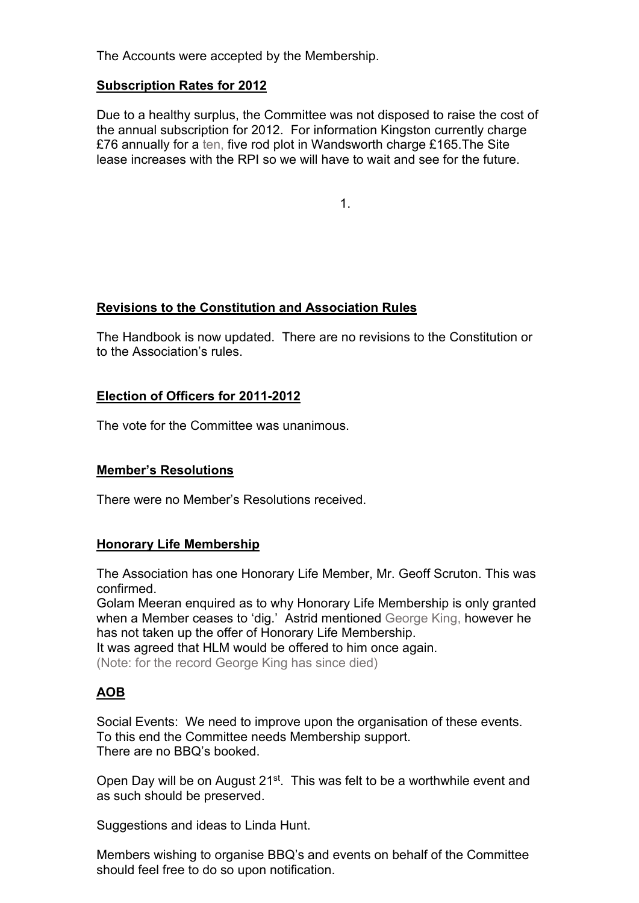The Accounts were accepted by the Membership.

### **Subscription Rates for 2012**

Due to a healthy surplus, the Committee was not disposed to raise the cost of the annual subscription for 2012. For information Kingston currently charge £76 annually for a ten, five rod plot in Wandsworth charge £165.The Site lease increases with the RPI so we will have to wait and see for the future.

 $1.1.1$ 

## **Revisions to the Constitution and Association Rules**

The Handbook is now updated. There are no revisions to the Constitution or to the Association's rules.

### **Election of Officers for 2011-2012**

The vote for the Committee was unanimous.

## **Member's Resolutions**

There were no Member's Resolutions received.

### **Honorary Life Membership**

The Association has one Honorary Life Member, Mr. Geoff Scruton. This was confirmed.

Golam Meeran enquired as to why Honorary Life Membership is only granted when a Member ceases to 'dig.' Astrid mentioned George King, however he has not taken up the offer of Honorary Life Membership.

It was agreed that HLM would be offered to him once again.

(Note: for the record George King has since died)

## **AOB**

Social Events: We need to improve upon the organisation of these events. To this end the Committee needs Membership support. There are no BBQ's booked.

Open Day will be on August 21<sup>st</sup>. This was felt to be a worthwhile event and as such should be preserved.

Suggestions and ideas to Linda Hunt.

Members wishing to organise BBQ's and events on behalf of the Committee should feel free to do so upon notification.